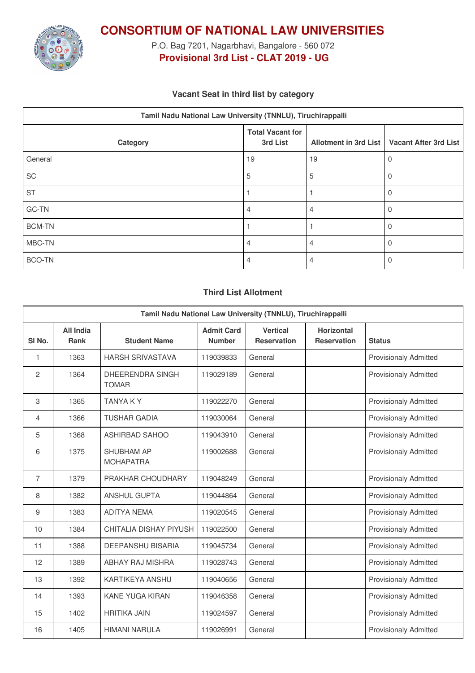

**CONSORTIUM OF NATIONAL LAW UNIVERSITIES**

P.O. Bag 7201, Nagarbhavi, Bangalore - 560 072 **Provisional 3rd List - CLAT 2019 - UG**

### **Vacant Seat in third list by category**

| Tamil Nadu National Law University (TNNLU), Tiruchirappalli |                                     |    |                                               |  |  |  |
|-------------------------------------------------------------|-------------------------------------|----|-----------------------------------------------|--|--|--|
| Category                                                    | <b>Total Vacant for</b><br>3rd List |    | Allotment in 3rd List   Vacant After 3rd List |  |  |  |
| General                                                     | 19                                  | 19 | U                                             |  |  |  |
| SC                                                          | 5                                   | 5  | $\Omega$                                      |  |  |  |
| <b>ST</b>                                                   |                                     |    | 0                                             |  |  |  |
| GC-TN                                                       | 4                                   | 4  | 0                                             |  |  |  |
| <b>BCM-TN</b>                                               |                                     |    | 0                                             |  |  |  |
| MBC-TN                                                      | 4                                   | 4  |                                               |  |  |  |
| <b>BCO-TN</b>                                               | 4                                   |    |                                               |  |  |  |

#### **Third List Allotment**

| Tamil Nadu National Law University (TNNLU), Tiruchirappalli |                                 |                                       |                                    |                                       |                                         |                              |
|-------------------------------------------------------------|---------------------------------|---------------------------------------|------------------------------------|---------------------------------------|-----------------------------------------|------------------------------|
| SI <sub>No.</sub>                                           | <b>All India</b><br><b>Rank</b> | <b>Student Name</b>                   | <b>Admit Card</b><br><b>Number</b> | <b>Vertical</b><br><b>Reservation</b> | <b>Horizontal</b><br><b>Reservation</b> | <b>Status</b>                |
| 1                                                           | 1363                            | <b>HARSH SRIVASTAVA</b>               | 119039833                          | General                               |                                         | <b>Provisionaly Admitted</b> |
| $\mathbf{2}$                                                | 1364                            | DHEERENDRA SINGH<br><b>TOMAR</b>      | 119029189                          | General                               |                                         | <b>Provisionaly Admitted</b> |
| 3                                                           | 1365                            | <b>TANYAKY</b>                        | 119022270                          | General                               |                                         | <b>Provisionaly Admitted</b> |
| 4                                                           | 1366                            | <b>TUSHAR GADIA</b>                   | 119030064                          | General                               |                                         | <b>Provisionaly Admitted</b> |
| 5                                                           | 1368                            | <b>ASHIRBAD SAHOO</b>                 | 119043910                          | General                               |                                         | <b>Provisionaly Admitted</b> |
| 6                                                           | 1375                            | <b>SHUBHAM AP</b><br><b>MOHAPATRA</b> | 119002688                          | General                               |                                         | <b>Provisionaly Admitted</b> |
| $\overline{7}$                                              | 1379                            | PRAKHAR CHOUDHARY                     | 119048249                          | General                               |                                         | <b>Provisionaly Admitted</b> |
| 8                                                           | 1382                            | <b>ANSHUL GUPTA</b>                   | 119044864                          | General                               |                                         | <b>Provisionaly Admitted</b> |
| 9                                                           | 1383                            | <b>ADITYA NEMA</b>                    | 119020545                          | General                               |                                         | <b>Provisionaly Admitted</b> |
| 10                                                          | 1384                            | CHITALIA DISHAY PIYUSH                | 119022500                          | General                               |                                         | <b>Provisionaly Admitted</b> |
| 11                                                          | 1388                            | <b>DEEPANSHU BISARIA</b>              | 119045734                          | General                               |                                         | <b>Provisionaly Admitted</b> |
| 12                                                          | 1389                            | ABHAY RAJ MISHRA                      | 119028743                          | General                               |                                         | <b>Provisionaly Admitted</b> |
| 13                                                          | 1392                            | <b>KARTIKEYA ANSHU</b>                | 119040656                          | General                               |                                         | <b>Provisionaly Admitted</b> |
| 14                                                          | 1393                            | <b>KANE YUGA KIRAN</b>                | 119046358                          | General                               |                                         | <b>Provisionaly Admitted</b> |
| 15                                                          | 1402                            | <b>HRITIKA JAIN</b>                   | 119024597                          | General                               |                                         | <b>Provisionaly Admitted</b> |
| 16                                                          | 1405                            | <b>HIMANI NARULA</b>                  | 119026991                          | General                               |                                         | <b>Provisionaly Admitted</b> |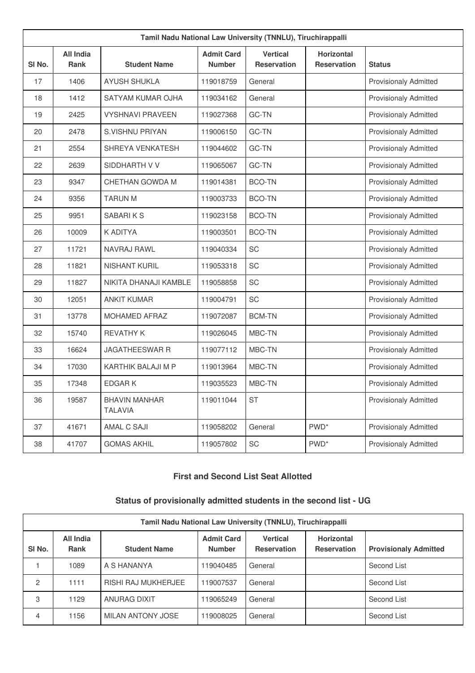| Tamil Nadu National Law University (TNNLU), Tiruchirappalli |                                 |                                        |                                    |                                       |                                         |                              |
|-------------------------------------------------------------|---------------------------------|----------------------------------------|------------------------------------|---------------------------------------|-----------------------------------------|------------------------------|
| SI No.                                                      | <b>All India</b><br><b>Rank</b> | <b>Student Name</b>                    | <b>Admit Card</b><br><b>Number</b> | <b>Vertical</b><br><b>Reservation</b> | <b>Horizontal</b><br><b>Reservation</b> | <b>Status</b>                |
| 17                                                          | 1406                            | <b>AYUSH SHUKLA</b>                    | 119018759                          | General                               |                                         | <b>Provisionaly Admitted</b> |
| 18                                                          | 1412                            | SATYAM KUMAR OJHA                      | 119034162                          | General                               |                                         | <b>Provisionaly Admitted</b> |
| 19                                                          | 2425                            | <b>VYSHNAVI PRAVEEN</b>                | 119027368                          | GC-TN                                 |                                         | <b>Provisionaly Admitted</b> |
| 20                                                          | 2478                            | S.VISHNU PRIYAN                        | 119006150                          | <b>GC-TN</b>                          |                                         | <b>Provisionaly Admitted</b> |
| 21                                                          | 2554                            | SHREYA VENKATESH                       | 119044602                          | GC-TN                                 |                                         | <b>Provisionaly Admitted</b> |
| 22                                                          | 2639                            | SIDDHARTH V V                          | 119065067                          | GC-TN                                 |                                         | <b>Provisionaly Admitted</b> |
| 23                                                          | 9347                            | CHETHAN GOWDA M                        | 119014381                          | <b>BCO-TN</b>                         |                                         | <b>Provisionaly Admitted</b> |
| 24                                                          | 9356                            | <b>TARUN M</b>                         | 119003733                          | <b>BCO-TN</b>                         |                                         | <b>Provisionaly Admitted</b> |
| 25                                                          | 9951                            | SABARIKS                               | 119023158                          | <b>BCO-TN</b>                         |                                         | <b>Provisionaly Admitted</b> |
| 26                                                          | 10009                           | <b>K ADITYA</b>                        | 119003501                          | <b>BCO-TN</b>                         |                                         | <b>Provisionaly Admitted</b> |
| 27                                                          | 11721                           | NAVRAJ RAWL                            | 119040334                          | SC                                    |                                         | <b>Provisionaly Admitted</b> |
| 28                                                          | 11821                           | NISHANT KURIL                          | 119053318                          | SC                                    |                                         | <b>Provisionaly Admitted</b> |
| 29                                                          | 11827                           | NIKITA DHANAJI KAMBLE                  | 119058858                          | SC                                    |                                         | <b>Provisionaly Admitted</b> |
| 30                                                          | 12051                           | <b>ANKIT KUMAR</b>                     | 119004791                          | SC                                    |                                         | <b>Provisionaly Admitted</b> |
| 31                                                          | 13778                           | MOHAMED AFRAZ                          | 119072087                          | <b>BCM-TN</b>                         |                                         | <b>Provisionaly Admitted</b> |
| 32                                                          | 15740                           | <b>REVATHY K</b>                       | 119026045                          | MBC-TN                                |                                         | <b>Provisionaly Admitted</b> |
| 33                                                          | 16624                           | <b>JAGATHEESWAR R</b>                  | 119077112                          | MBC-TN                                |                                         | <b>Provisionaly Admitted</b> |
| 34                                                          | 17030                           | KARTHIK BALAJI M P                     | 119013964                          | MBC-TN                                |                                         | <b>Provisionaly Admitted</b> |
| 35                                                          | 17348                           | <b>EDGARK</b>                          | 119035523                          | MBC-TN                                |                                         | <b>Provisionaly Admitted</b> |
| 36                                                          | 19587                           | <b>BHAVIN MANHAR</b><br><b>TALAVIA</b> | 119011044                          | <b>ST</b>                             |                                         | <b>Provisionaly Admitted</b> |
| 37                                                          | 41671                           | AMAL C SAJI                            | 119058202                          | General                               | PWD <sup>*</sup>                        | <b>Provisionaly Admitted</b> |
| 38                                                          | 41707                           | <b>GOMAS AKHIL</b>                     | 119057802                          | SC                                    | PWD <sup>*</sup>                        | <b>Provisionaly Admitted</b> |

# **First and Second List Seat Allotted**

# **Status of provisionally admitted students in the second list - UG**

| Tamil Nadu National Law University (TNNLU), Tiruchirappalli |                          |                            |                                    |                                |                                         |                              |  |
|-------------------------------------------------------------|--------------------------|----------------------------|------------------------------------|--------------------------------|-----------------------------------------|------------------------------|--|
| SI <sub>No.</sub>                                           | All India<br><b>Rank</b> | <b>Student Name</b>        | <b>Admit Card</b><br><b>Number</b> | Vertical<br><b>Reservation</b> | <b>Horizontal</b><br><b>Reservation</b> | <b>Provisionaly Admitted</b> |  |
|                                                             | 1089                     | A S HANANYA                | 119040485                          | General                        |                                         | Second List                  |  |
| $\mathcal{P}$                                               | 1111                     | <b>RISHI RAJ MUKHERJEE</b> | 119007537                          | General                        |                                         | Second List                  |  |
| 3                                                           | 1129                     | ANURAG DIXIT               | 19065249                           | General                        |                                         | Second List                  |  |
| 4                                                           | 1156                     | MILAN ANTONY JOSE          | 119008025                          | General                        |                                         | Second List                  |  |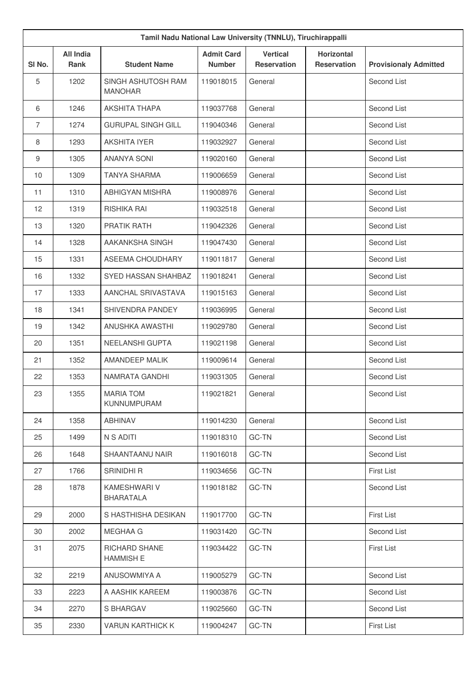|                | Tamil Nadu National Law University (TNNLU), Tiruchirappalli |                                         |                                    |                                       |                                         |                              |  |
|----------------|-------------------------------------------------------------|-----------------------------------------|------------------------------------|---------------------------------------|-----------------------------------------|------------------------------|--|
| SI No.         | <b>All India</b><br><b>Rank</b>                             | <b>Student Name</b>                     | <b>Admit Card</b><br><b>Number</b> | <b>Vertical</b><br><b>Reservation</b> | <b>Horizontal</b><br><b>Reservation</b> | <b>Provisionaly Admitted</b> |  |
| 5              | 1202                                                        | SINGH ASHUTOSH RAM<br><b>MANOHAR</b>    | 119018015                          | General                               |                                         | Second List                  |  |
| 6              | 1246                                                        | AKSHITA THAPA                           | 119037768                          | General                               |                                         | Second List                  |  |
| $\overline{7}$ | 1274                                                        | <b>GURUPAL SINGH GILL</b>               | 119040346                          | General                               |                                         | Second List                  |  |
| 8              | 1293                                                        | <b>AKSHITA IYER</b>                     | 119032927                          | General                               |                                         | Second List                  |  |
| 9              | 1305                                                        | <b>ANANYA SONI</b>                      | 119020160                          | General                               |                                         | Second List                  |  |
| 10             | 1309                                                        | <b>TANYA SHARMA</b>                     | 119006659                          | General                               |                                         | Second List                  |  |
| 11             | 1310                                                        | <b>ABHIGYAN MISHRA</b>                  | 119008976                          | General                               |                                         | Second List                  |  |
| 12             | 1319                                                        | <b>RISHIKA RAI</b>                      | 119032518                          | General                               |                                         | Second List                  |  |
| 13             | 1320                                                        | PRATIK RATH                             | 119042326                          | General                               |                                         | Second List                  |  |
| 14             | 1328                                                        | AAKANKSHA SINGH                         | 119047430                          | General                               |                                         | Second List                  |  |
| 15             | 1331                                                        | ASEEMA CHOUDHARY                        | 119011817                          | General                               |                                         | Second List                  |  |
| 16             | 1332                                                        | SYED HASSAN SHAHBAZ                     | 119018241                          | General                               |                                         | Second List                  |  |
| 17             | 1333                                                        | AANCHAL SRIVASTAVA                      | 119015163                          | General                               |                                         | Second List                  |  |
| 18             | 1341                                                        | SHIVENDRA PANDEY                        | 119036995                          | General                               |                                         | Second List                  |  |
| 19             | 1342                                                        | ANUSHKA AWASTHI                         | 119029780                          | General                               |                                         | Second List                  |  |
| 20             | 1351                                                        | NEELANSHI GUPTA                         | 119021198                          | General                               |                                         | Second List                  |  |
| 21             | 1352                                                        | AMANDEEP MALIK                          | 119009614                          | General                               |                                         | Second List                  |  |
| 22             | 1353                                                        | <b>NAMRATA GANDHI</b>                   | 119031305                          | General                               |                                         | Second List                  |  |
| 23             | 1355                                                        | <b>MARIA TOM</b><br><b>KUNNUMPURAM</b>  | 119021821                          | General                               |                                         | Second List                  |  |
| 24             | 1358                                                        | <b>ABHINAV</b>                          | 119014230                          | General                               |                                         | Second List                  |  |
| 25             | 1499                                                        | N S ADITI                               | 119018310                          | GC-TN                                 |                                         | Second List                  |  |
| 26             | 1648                                                        | SHAANTAANU NAIR                         | 119016018                          | GC-TN                                 |                                         | Second List                  |  |
| 27             | 1766                                                        | SRINIDHI R                              | 119034656                          | GC-TN                                 |                                         | <b>First List</b>            |  |
| 28             | 1878                                                        | <b>KAMESHWARI V</b><br><b>BHARATALA</b> | 119018182                          | GC-TN                                 |                                         | Second List                  |  |
| 29             | 2000                                                        | S HASTHISHA DESIKAN                     | 119017700                          | GC-TN                                 |                                         | <b>First List</b>            |  |
| 30             | 2002                                                        | MEGHAA G                                | 119031420                          | GC-TN                                 |                                         | Second List                  |  |
| 31             | 2075                                                        | RICHARD SHANE<br><b>HAMMISH E</b>       | 119034422                          | GC-TN                                 |                                         | <b>First List</b>            |  |
| 32             | 2219                                                        | ANUSOWMIYA A                            | 119005279                          | GC-TN                                 |                                         | Second List                  |  |
| 33             | 2223                                                        | A AASHIK KAREEM                         | 119003876                          | GC-TN                                 |                                         | Second List                  |  |
| 34             | 2270                                                        | S BHARGAV                               | 119025660                          | GC-TN                                 |                                         | Second List                  |  |
| 35             | 2330                                                        | <b>VARUN KARTHICK K</b>                 | 119004247                          | GC-TN                                 |                                         | First List                   |  |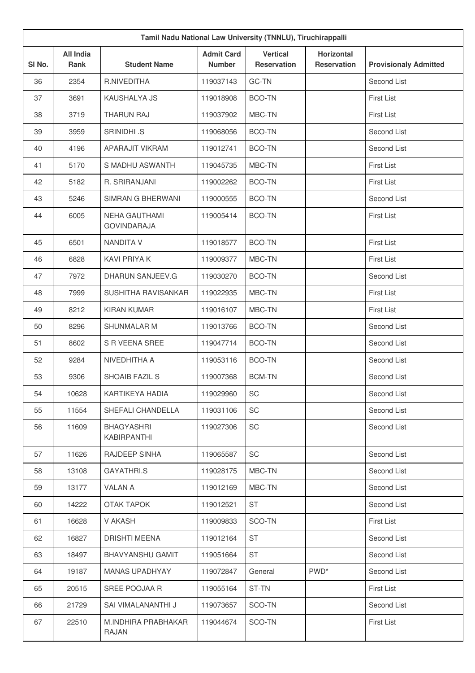| Tamil Nadu National Law University (TNNLU), Tiruchirappalli |                                            |                                    |                                       |                                         |                              |  |
|-------------------------------------------------------------|--------------------------------------------|------------------------------------|---------------------------------------|-----------------------------------------|------------------------------|--|
| <b>All India</b><br><b>Rank</b>                             | <b>Student Name</b>                        | <b>Admit Card</b><br><b>Number</b> | <b>Vertical</b><br><b>Reservation</b> | <b>Horizontal</b><br><b>Reservation</b> | <b>Provisionaly Admitted</b> |  |
| 2354                                                        | R.NIVEDITHA                                | 119037143                          | GC-TN                                 |                                         | Second List                  |  |
| 3691                                                        | KAUSHALYA JS                               | 119018908                          | <b>BCO-TN</b>                         |                                         | <b>First List</b>            |  |
| 3719                                                        | <b>THARUN RAJ</b>                          | 119037902                          | MBC-TN                                |                                         | <b>First List</b>            |  |
| 3959                                                        | SRINIDHI .S                                | 119068056                          | <b>BCO-TN</b>                         |                                         | Second List                  |  |
| 4196                                                        | APARAJIT VIKRAM                            | 119012741                          | <b>BCO-TN</b>                         |                                         | Second List                  |  |
| 5170                                                        | S MADHU ASWANTH                            | 119045735                          | MBC-TN                                |                                         | <b>First List</b>            |  |
| 5182                                                        | R. SRIRANJANI                              | 119002262                          | <b>BCO-TN</b>                         |                                         | <b>First List</b>            |  |
| 5246                                                        | SIMRAN G BHERWANI                          | 119000555                          | <b>BCO-TN</b>                         |                                         | Second List                  |  |
| 6005                                                        | <b>NEHA GAUTHAMI</b><br><b>GOVINDARAJA</b> | 119005414                          | <b>BCO-TN</b>                         |                                         | <b>First List</b>            |  |
| 6501                                                        | <b>NANDITA V</b>                           | 119018577                          | <b>BCO-TN</b>                         |                                         | <b>First List</b>            |  |
| 6828                                                        | <b>KAVI PRIYA K</b>                        | 119009377                          | MBC-TN                                |                                         | <b>First List</b>            |  |
| 7972                                                        | DHARUN SANJEEV.G                           | 119030270                          | <b>BCO-TN</b>                         |                                         | Second List                  |  |
| 7999                                                        | SUSHITHA RAVISANKAR                        | 119022935                          | MBC-TN                                |                                         | <b>First List</b>            |  |
| 8212                                                        | <b>KIRAN KUMAR</b>                         | 119016107                          | MBC-TN                                |                                         | <b>First List</b>            |  |
| 8296                                                        | <b>SHUNMALAR M</b>                         | 119013766                          | <b>BCO-TN</b>                         |                                         | Second List                  |  |
| 8602                                                        | S R VEENA SREE                             | 119047714                          | <b>BCO-TN</b>                         |                                         | Second List                  |  |
| 9284                                                        | NIVEDHITHA A                               | 119053116                          | <b>BCO-TN</b>                         |                                         | Second List                  |  |
| 9306                                                        | <b>SHOAIB FAZIL S</b>                      | 119007368                          | <b>BCM-TN</b>                         |                                         | Second List                  |  |
| 10628                                                       | KARTIKEYA HADIA                            | 119029960                          | SC                                    |                                         | Second List                  |  |
| 11554                                                       | SHEFALI CHANDELLA                          | 119031106                          | SC                                    |                                         | Second List                  |  |
| 11609                                                       | <b>BHAGYASHRI</b><br>KABIRPANTHI           | 119027306                          | SC                                    |                                         | Second List                  |  |
| 11626                                                       | RAJDEEP SINHA                              | 119065587                          | SC                                    |                                         | Second List                  |  |
| 13108                                                       | <b>GAYATHRI.S</b>                          | 119028175                          | MBC-TN                                |                                         | Second List                  |  |
| 13177                                                       | <b>VALAN A</b>                             | 119012169                          | MBC-TN                                |                                         | Second List                  |  |
| 14222                                                       | OTAK TAPOK                                 | 119012521                          | <b>ST</b>                             |                                         | Second List                  |  |
| 16628                                                       | V AKASH                                    | 119009833                          | SCO-TN                                |                                         | <b>First List</b>            |  |
| 16827                                                       | <b>DRISHTI MEENA</b>                       | 119012164                          | <b>ST</b>                             |                                         | Second List                  |  |
| 18497                                                       | <b>BHAVYANSHU GAMIT</b>                    | 119051664                          | <b>ST</b>                             |                                         | Second List                  |  |
| 19187                                                       | <b>MANAS UPADHYAY</b>                      | 119072847                          | General                               | PWD <sup>*</sup>                        | Second List                  |  |
| 20515                                                       | SREE POOJAA R                              | 119055164                          | ST-TN                                 |                                         | <b>First List</b>            |  |
| 21729                                                       | SAI VIMALANANTHI J                         | 119073657                          | SCO-TN                                |                                         | Second List                  |  |
| 22510                                                       | M.INDHIRA PRABHAKAR<br><b>RAJAN</b>        | 119044674                          | SCO-TN                                |                                         | <b>First List</b>            |  |
|                                                             |                                            |                                    |                                       |                                         |                              |  |